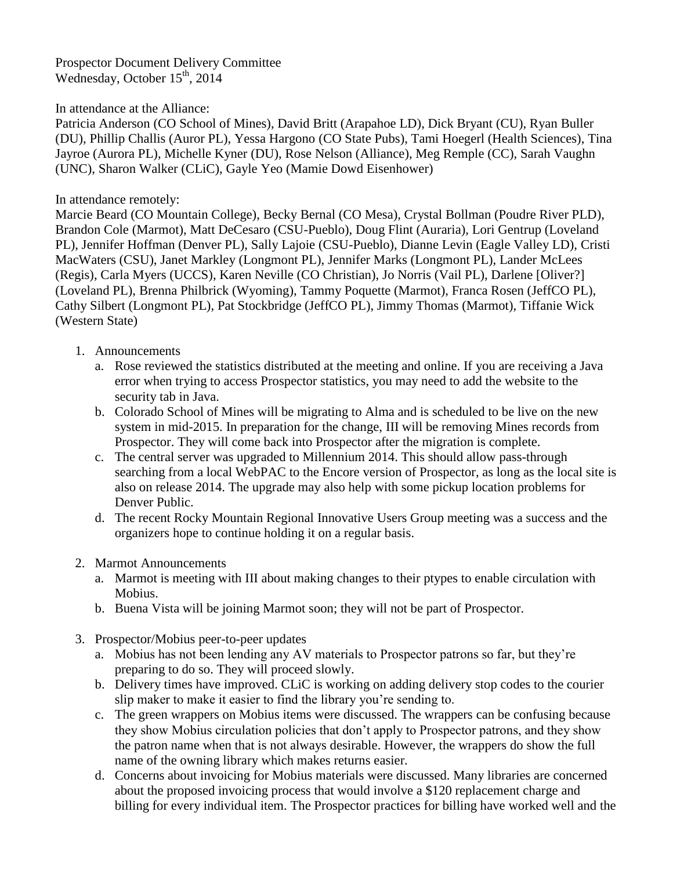Prospector Document Delivery Committee Wednesday, October 15<sup>th</sup>, 2014

## In attendance at the Alliance:

Patricia Anderson (CO School of Mines), David Britt (Arapahoe LD), Dick Bryant (CU), Ryan Buller (DU), Phillip Challis (Auror PL), Yessa Hargono (CO State Pubs), Tami Hoegerl (Health Sciences), Tina Jayroe (Aurora PL), Michelle Kyner (DU), Rose Nelson (Alliance), Meg Remple (CC), Sarah Vaughn (UNC), Sharon Walker (CLiC), Gayle Yeo (Mamie Dowd Eisenhower)

## In attendance remotely:

Marcie Beard (CO Mountain College), Becky Bernal (CO Mesa), Crystal Bollman (Poudre River PLD), Brandon Cole (Marmot), Matt DeCesaro (CSU-Pueblo), Doug Flint (Auraria), Lori Gentrup (Loveland PL), Jennifer Hoffman (Denver PL), Sally Lajoie (CSU-Pueblo), Dianne Levin (Eagle Valley LD), Cristi MacWaters (CSU), Janet Markley (Longmont PL), Jennifer Marks (Longmont PL), Lander McLees (Regis), Carla Myers (UCCS), Karen Neville (CO Christian), Jo Norris (Vail PL), Darlene [Oliver?] (Loveland PL), Brenna Philbrick (Wyoming), Tammy Poquette (Marmot), Franca Rosen (JeffCO PL), Cathy Silbert (Longmont PL), Pat Stockbridge (JeffCO PL), Jimmy Thomas (Marmot), Tiffanie Wick (Western State)

- 1. Announcements
	- a. Rose reviewed the statistics distributed at the meeting and online. If you are receiving a Java error when trying to access Prospector statistics, you may need to add the website to the security tab in Java.
	- b. Colorado School of Mines will be migrating to Alma and is scheduled to be live on the new system in mid-2015. In preparation for the change, III will be removing Mines records from Prospector. They will come back into Prospector after the migration is complete.
	- c. The central server was upgraded to Millennium 2014. This should allow pass-through searching from a local WebPAC to the Encore version of Prospector, as long as the local site is also on release 2014. The upgrade may also help with some pickup location problems for Denver Public.
	- d. The recent Rocky Mountain Regional Innovative Users Group meeting was a success and the organizers hope to continue holding it on a regular basis.
- 2. Marmot Announcements
	- a. Marmot is meeting with III about making changes to their ptypes to enable circulation with Mobius.
	- b. Buena Vista will be joining Marmot soon; they will not be part of Prospector.
- 3. Prospector/Mobius peer-to-peer updates
	- a. Mobius has not been lending any AV materials to Prospector patrons so far, but they're preparing to do so. They will proceed slowly.
	- b. Delivery times have improved. CLiC is working on adding delivery stop codes to the courier slip maker to make it easier to find the library you're sending to.
	- c. The green wrappers on Mobius items were discussed. The wrappers can be confusing because they show Mobius circulation policies that don't apply to Prospector patrons, and they show the patron name when that is not always desirable. However, the wrappers do show the full name of the owning library which makes returns easier.
	- d. Concerns about invoicing for Mobius materials were discussed. Many libraries are concerned about the proposed invoicing process that would involve a \$120 replacement charge and billing for every individual item. The Prospector practices for billing have worked well and the